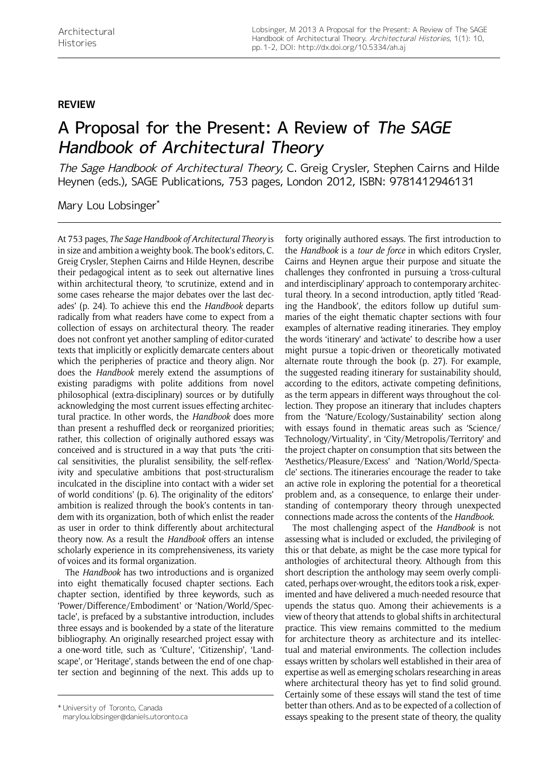## **review**

## A Proposal for the Present: A Review of The SAGE Handbook of Architectural Theory

The Sage Handbook of Architectural Theory, C. Greig Crysler, Stephen Cairns and Hilde Heynen (eds.), SAGE Publications, 753 pages, London 2012, ISBN: 9781412946131

Mary Lou Lobsinger\*

At 753 pages, *The Sage Handbook of Architectural Theory* is in size and ambition a weighty book. The book's editors, C. Greig Crysler, Stephen Cairns and Hilde Heynen, describe their pedagogical intent as to seek out alternative lines within architectural theory, 'to scrutinize, extend and in some cases rehearse the major debates over the last decades' (p. 24). To achieve this end the *Handbook* departs radically from what readers have come to expect from a collection of essays on architectural theory. The reader does not confront yet another sampling of editor-curated texts that implicitly or explicitly demarcate centers about which the peripheries of practice and theory align. Nor does the *Handbook* merely extend the assumptions of existing paradigms with polite additions from novel philosophical (extra-disciplinary) sources or by dutifully acknowledging the most current issues effecting architectural practice. In other words, the *Handbook* does more than present a reshuffled deck or reorganized priorities; rather, this collection of originally authored essays was conceived and is structured in a way that puts 'the critical sensitivities, the pluralist sensibility, the self-reflexivity and speculative ambitions that post-structuralism inculcated in the discipline into contact with a wider set of world conditions' (p. 6). The originality of the editors' ambition is realized through the book's contents in tandem with its organization, both of which enlist the reader as user in order to think differently about architectural theory now. As a result the *Handbook* offers an intense scholarly experience in its comprehensiveness, its variety of voices and its formal organization.

The *Handbook* has two introductions and is organized into eight thematically focused chapter sections. Each chapter section, identified by three keywords, such as 'Power/Difference/Embodiment' or 'Nation/World/Spectacle', is prefaced by a substantive introduction, includes three essays and is bookended by a state of the literature bibliography. An originally researched project essay with a one-word title, such as 'Culture', 'Citizenship', 'Landscape', or 'Heritage', stands between the end of one chapter section and beginning of the next. This adds up to

forty originally authored essays. The first introduction to the *Handbook* is a *tour de force* in which editors Crysler, Cairns and Heynen argue their purpose and situate the challenges they confronted in pursuing a 'cross-cultural and interdisciplinary' approach to contemporary architectural theory. In a second introduction, aptly titled 'Reading the Handbook', the editors follow up dutiful summaries of the eight thematic chapter sections with four examples of alternative reading itineraries. They employ the words 'itinerary' and 'activate' to describe how a user might pursue a topic-driven or theoretically motivated alternate route through the book (p. 27). For example, the suggested reading itinerary for sustainability should, according to the editors, activate competing definitions, as the term appears in different ways throughout the collection. They propose an itinerary that includes chapters from the 'Nature/Ecology/Sustainability' section along with essays found in thematic areas such as 'Science/ Technology/Virtuality', in 'City/Metropolis/Territory' and the project chapter on consumption that sits between the 'Aesthetics/Pleasure/Excess' and 'Nation/World/Spectacle' sections. The itineraries encourage the reader to take an active role in exploring the potential for a theoretical problem and, as a consequence, to enlarge their understanding of contemporary theory through unexpected connections made across the contents of the *Handbook*.

The most challenging aspect of the *Handbook* is not assessing what is included or excluded, the privileging of this or that debate, as might be the case more typical for anthologies of architectural theory. Although from this short description the anthology may seem overly complicated, perhaps over-wrought, the editors took a risk, experimented and have delivered a much-needed resource that upends the status quo. Among their achievements is a view of theory that attends to global shifts in architectural practice. This view remains committed to the medium for architecture theory as architecture and its intellectual and material environments. The collection includes essays written by scholars well established in their area of expertise as well as emerging scholars researching in areas where architectural theory has yet to find solid ground. Certainly some of these essays will stand the test of time better than others. And as to be expected of a collection of tuniversity of Toronto, Canada<br>essays speaking to the present state of theory, the quality \* Universing to the present state of theory, the quality

[marylou.lobsinger@daniels.utoronto.ca](mailto:marylou.lobsinger@daniels.utoronto.ca)